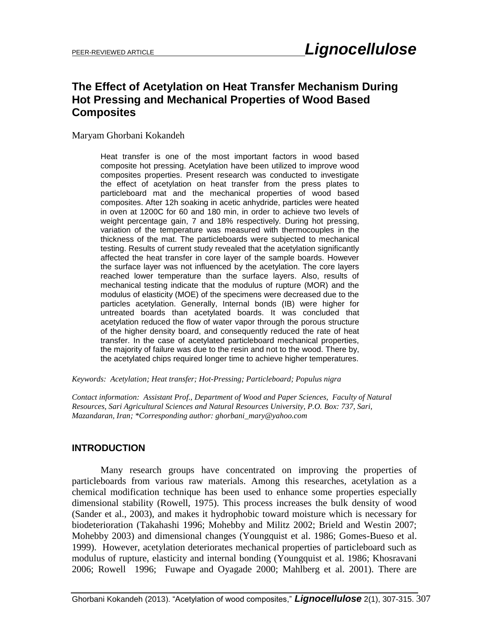# **The Effect of Acetylation on Heat Transfer Mechanism During Hot Pressing and Mechanical Properties of Wood Based Composites**

Maryam Ghorbani Kokandeh

Heat transfer is one of the most important factors in wood based composite hot pressing. Acetylation have been utilized to improve wood composites properties. Present research was conducted to investigate the effect of acetylation on heat transfer from the press plates to particleboard mat and the mechanical properties of wood based composites. After 12h soaking in acetic anhydride, particles were heated in oven at 1200C for 60 and 180 min, in order to achieve two levels of weight percentage gain, 7 and 18% respectively. During hot pressing, variation of the temperature was measured with thermocouples in the thickness of the mat. The particleboards were subjected to mechanical testing. Results of current study revealed that the acetylation significantly affected the heat transfer in core layer of the sample boards. However the surface layer was not influenced by the acetylation. The core layers reached lower temperature than the surface layers. Also, results of mechanical testing indicate that the modulus of rupture (MOR) and the modulus of elasticity (MOE) of the specimens were decreased due to the particles acetylation. Generally, Internal bonds (IB) were higher for untreated boards than acetylated boards. It was concluded that acetylation reduced the flow of water vapor through the porous structure of the higher density board, and consequently reduced the rate of heat transfer. In the case of acetylated particleboard mechanical properties, the majority of failure was due to the resin and not to the wood. There by, the acetylated chips required longer time to achieve higher temperatures.

*Keywords: Acetylation; Heat transfer; Hot-Pressing; Particleboard; Populus nigra*

*Contact information: Assistant Prof., Department of Wood and Paper Sciences, Faculty of Natural Resources, Sari Agricultural Sciences and Natural Resources University, P.O. Box: 737, Sari, Mazandaran, Iran; \*Corresponding author: ghorbani\_mary@yahoo.com*

### **INTRODUCTION**

Many research groups have concentrated on improving the properties of particleboards from various raw materials. Among this researches, acetylation as a chemical modification technique has been used to enhance some properties especially dimensional stability (Rowell, 1975). This process increases the bulk density of wood (Sander et al., 2003), and makes it hydrophobic toward moisture which is necessary for biodeterioration (Takahashi 1996; Mohebby and Militz 2002; Brield and Westin 2007; Mohebby 2003) and dimensional changes (Youngquist et al. 1986; Gomes-Bueso et al. 1999). However, acetylation deteriorates mechanical properties of particleboard such as modulus of rupture, elasticity and internal bonding (Youngquist et al. 1986; Khosravani 2006; Rowell 1996; Fuwape and Oyagade 2000; Mahlberg et al. 2001). There are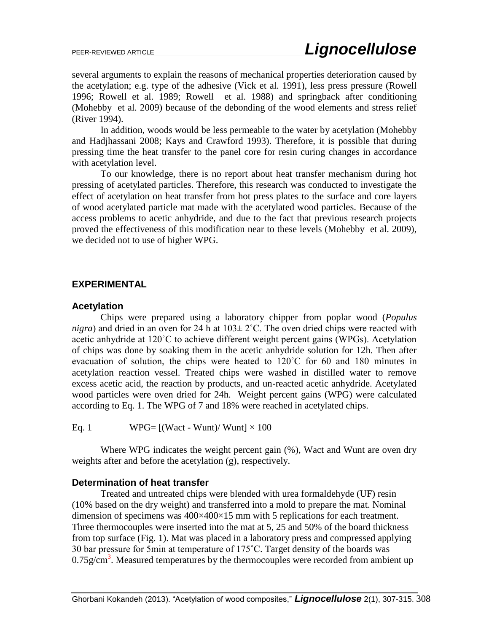several arguments to explain the reasons of mechanical properties deterioration caused by the acetylation; e.g. type of the adhesive (Vick et al. 1991), less press pressure (Rowell 1996; Rowell et al. 1989; Rowell et al. 1988) and springback after conditioning (Mohebby et al. 2009) because of the debonding of the wood elements and stress relief (River 1994).

In addition, woods would be less permeable to the water by acetylation (Mohebby and Hadjhassani 2008; Kays and Crawford 1993). Therefore, it is possible that during pressing time the heat transfer to the panel core for resin curing changes in accordance with acetylation level.

To our knowledge, there is no report about heat transfer mechanism during hot pressing of acetylated particles. Therefore, this research was conducted to investigate the effect of acetylation on heat transfer from hot press plates to the surface and core layers of wood acetylated particle mat made with the acetylated wood particles. Because of the access problems to acetic anhydride, and due to the fact that previous research projects proved the effectiveness of this modification near to these levels (Mohebby et al. 2009), we decided not to use of higher WPG.

### **EXPERIMENTAL**

### **Acetylation**

Chips were prepared using a laboratory chipper from poplar wood (*Populus nigra*) and dried in an oven for 24 h at  $103 \pm 2$ °C. The oven dried chips were reacted with acetic anhydride at 120˚C to achieve different weight percent gains (WPGs). Acetylation of chips was done by soaking them in the acetic anhydride solution for 12h. Then after evacuation of solution, the chips were heated to 120˚C for 60 and 180 minutes in acetylation reaction vessel. Treated chips were washed in distilled water to remove excess acetic acid, the reaction by products, and un-reacted acetic anhydride. Acetylated wood particles were oven dried for 24h. Weight percent gains (WPG) were calculated according to Eq. 1. The WPG of 7 and 18% were reached in acetylated chips.

Eq. 1 WPG=  $[(Wact - Wunt)/ Wunt] \times 100$ 

Where WPG indicates the weight percent gain  $(\%)$ , Wact and Wunt are oven dry weights after and before the acetylation (g), respectively.

### **Determination of heat transfer**

Treated and untreated chips were blended with urea formaldehyde (UF) resin (10% based on the dry weight) and transferred into a mold to prepare the mat. Nominal dimension of specimens was 400×400×15 mm with 5 replications for each treatment. Three thermocouples were inserted into the mat at 5, 25 and 50% of the board thickness from top surface (Fig. 1). Mat was placed in a laboratory press and compressed applying 30 bar pressure for 5min at temperature of 175˚C. Target density of the boards was  $0.75$ g/cm<sup>3</sup>. Measured temperatures by the thermocouples were recorded from ambient up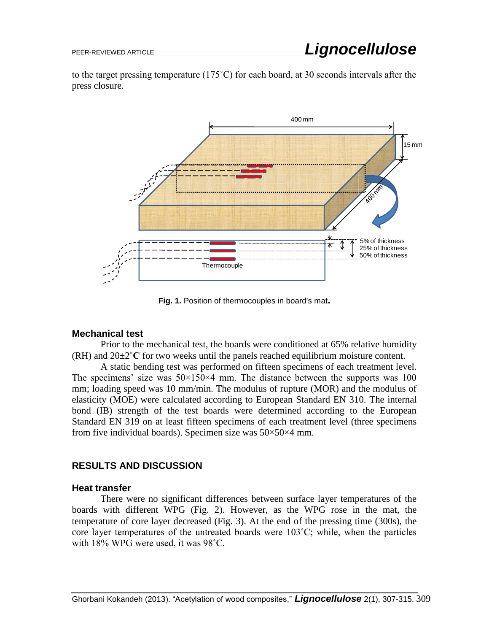to the target pressing temperature (175˚C) for each board, at 30 seconds intervals after the press closure.



**Fig. 1.** Position of thermocouples in board's mat**.**

### **Mechanical test**

Prior to the mechanical test, the boards were conditioned at 65% relative humidity (RH) and 20±2**˚C** for two weeks until the panels reached equilibrium moisture content.

A static bending test was performed on fifteen specimens of each treatment level. The specimens' size was  $50 \times 150 \times 4$  mm. The distance between the supports was 100 mm; loading speed was 10 mm/min. The modulus of rupture (MOR) and the modulus of elasticity (MOE) were calculated according to European Standard EN 310. The internal bond (IB) strength of the test boards were determined according to the European Standard EN 319 on at least fifteen specimens of each treatment level (three specimens from five individual boards). Specimen size was 50×50×4 mm.

## **RESULTS AND DISCUSSION**

### **Heat transfer**

There were no significant differences between surface layer temperatures of the boards with different WPG (Fig. 2). However, as the WPG rose in the mat, the temperature of core layer decreased (Fig. 3). At the end of the pressing time (300s), the core layer temperatures of the untreated boards were 103˚C; while, when the particles with 18% WPG were used, it was 98˚C.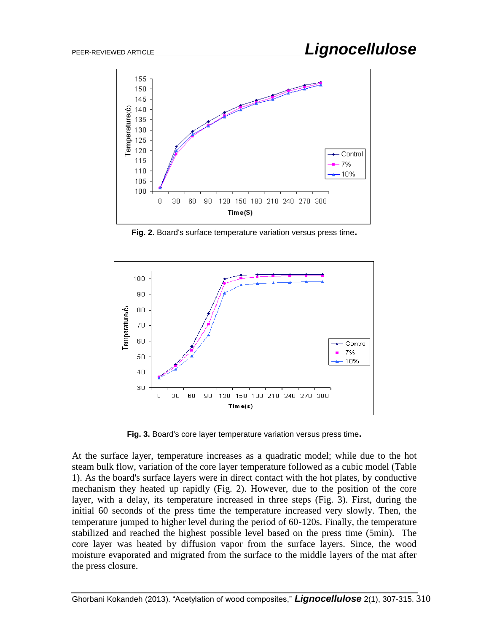

**Fig. 2.** Board's surface temperature variation versus press time**.**



**Fig. 3.** Board's core layer temperature variation versus press time**.**

At the surface layer, temperature increases as a quadratic model; while due to the hot steam bulk flow, variation of the core layer temperature followed as a cubic model (Table 1). As the board's surface layers were in direct contact with the hot plates, by conductive mechanism they heated up rapidly (Fig. 2). However, due to the position of the core layer, with a delay, its temperature increased in three steps (Fig. 3). First, during the initial 60 seconds of the press time the temperature increased very slowly. Then, the temperature jumped to higher level during the period of 60-120s. Finally, the temperature stabilized and reached the highest possible level based on the press time (5min). The core layer was heated by diffusion vapor from the surface layers. Since, the wood moisture evaporated and migrated from the surface to the middle layers of the mat after the press closure.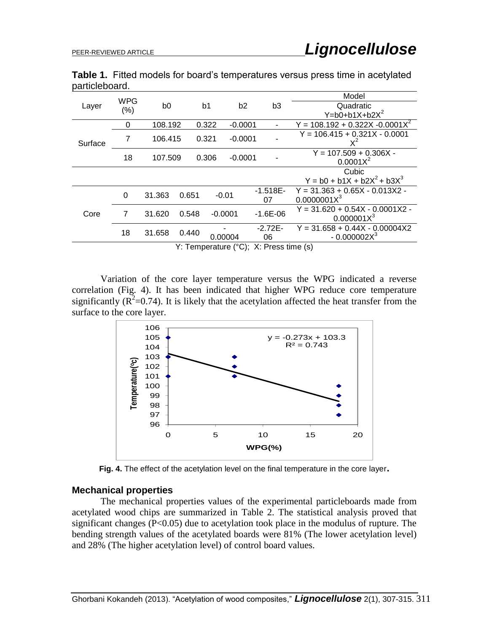|                |  |  |  | Table 1. Fitted models for board's temperatures versus press time in acetylated |
|----------------|--|--|--|---------------------------------------------------------------------------------|
| particleboard. |  |  |  |                                                                                 |

| Layer                                  | <b>WPG</b> |         |       |                                  |           |              |                          | Model                                   |  |  |
|----------------------------------------|------------|---------|-------|----------------------------------|-----------|--------------|--------------------------|-----------------------------------------|--|--|
|                                        |            | b0      |       | b <sub>2</sub><br>b <sub>1</sub> |           |              | b <sub>3</sub>           | Quadratic                               |  |  |
|                                        | (%)        |         |       |                                  |           |              |                          | $Y = b0 + b1X + b2X^2$                  |  |  |
| Surface                                | 0          | 108.192 |       | 0.322                            | $-0.0001$ |              | $\overline{\phantom{a}}$ | $Y = 108.192 + 0.322X - 0.0001X^2$      |  |  |
|                                        | 7          | 106.415 |       | 0.321                            | $-0.0001$ |              |                          | $Y = 106.415 + 0.321X - 0.0001$         |  |  |
|                                        | 18         | 107.509 |       | 0.306                            | $-0.0001$ |              |                          | $Y = 107.509 + 0.306X -$<br>$0.0001X^2$ |  |  |
|                                        |            |         |       |                                  |           |              |                          | Cubic                                   |  |  |
|                                        |            |         |       |                                  |           |              |                          | $Y = b0 + b1X + b2X^{2} + b3X^{3}$      |  |  |
| Core                                   | $\Omega$   | 31.363  | 0.651 |                                  |           |              | $-1.518E-$               | $Y = 31.363 + 0.65X - 0.013X2 -$        |  |  |
|                                        |            |         |       | $-0.01$                          |           |              | 07                       | 0.0000001X <sup>3</sup>                 |  |  |
|                                        | 7          | 31.620  | 0.548 | $-0.0001$                        |           | $-1.6E - 06$ |                          | $Y = 31.620 + 0.54X - 0.0001X2 -$       |  |  |
|                                        |            |         |       |                                  |           |              |                          | 0.000001X <sup>3</sup>                  |  |  |
|                                        | 18         | 31.658  | 0.440 | 0.00004                          |           | $-2.72E-$    |                          | $Y = 31.658 + 0.44X - 0.00004X2$        |  |  |
|                                        |            |         |       |                                  |           |              | 06                       | $-0.000002X3$                           |  |  |
| Y: Temperature (°C); X: Press time (s) |            |         |       |                                  |           |              |                          |                                         |  |  |

Variation of the core layer temperature versus the WPG indicated a reverse correlation (Fig. 4). It has been indicated that higher WPG reduce core temperature significantly ( $\mathbb{R}^2$ =0.74). It is likely that the acetylation affected the heat transfer from the surface to the core layer.



**Fig. 4.** The effect of the acetylation level on the final temperature in the core layer**.**

### **Mechanical properties**

The mechanical properties values of the experimental particleboards made from acetylated wood chips are summarized in Table 2. The statistical analysis proved that significant changes (P<0.05) due to acetylation took place in the modulus of rupture. The bending strength values of the acetylated boards were 81% (The lower acetylation level) and 28% (The higher acetylation level) of control board values.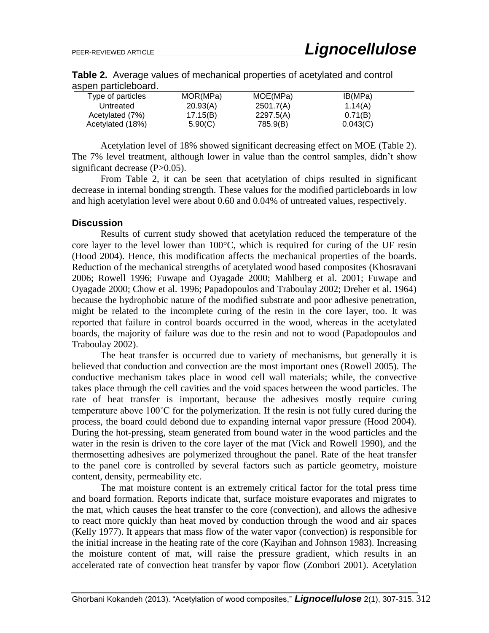| MOR(MPa) | MOE(MPa)  | IB(MPa)  |  |
|----------|-----------|----------|--|
| 20.93(A) | 2501.7(A) | 1.14(A)  |  |
| 17.15(B) | 2297.5(A) | 0.71(B)  |  |
| 5.90(C)  | 785.9(B)  | 0.043(C) |  |
|          |           |          |  |

**Table 2.** Average values of mechanical properties of acetylated and control aspen particleboard.

Acetylation level of 18% showed significant decreasing effect on MOE (Table 2). The 7% level treatment, although lower in value than the control samples, didn't show significant decrease (P>0.05).

From Table 2, it can be seen that acetylation of chips resulted in significant decrease in internal bonding strength. These values for the modified particleboards in low and high acetylation level were about 0.60 and 0.04% of untreated values, respectively.

#### **Discussion**

Results of current study showed that acetylation reduced the temperature of the core layer to the level lower than 100°C, which is required for curing of the UF resin (Hood 2004). Hence, this modification affects the mechanical properties of the boards. Reduction of the mechanical strengths of acetylated wood based composites (Khosravani 2006; Rowell 1996; Fuwape and Oyagade 2000; Mahlberg et al. 2001; Fuwape and Oyagade 2000; Chow et al. 1996; Papadopoulos and Traboulay 2002; Dreher et al. 1964) because the hydrophobic nature of the modified substrate and poor adhesive penetration, might be related to the incomplete curing of the resin in the core layer, too. It was reported that failure in control boards occurred in the wood, whereas in the acetylated boards, the majority of failure was due to the resin and not to wood (Papadopoulos and Traboulay 2002).

The heat transfer is occurred due to variety of mechanisms, but generally it is believed that conduction and convection are the most important ones (Rowell 2005). The conductive mechanism takes place in wood cell wall materials; while, the convective takes place through the cell cavities and the void spaces between the wood particles. The rate of heat transfer is important, because the adhesives mostly require curing temperature above 100˚C for the polymerization. If the resin is not fully cured during the process, the board could debond due to expanding internal vapor pressure (Hood 2004). During the hot-pressing, steam generated from bound water in the wood particles and the water in the resin is driven to the core layer of the mat (Vick and Rowell 1990), and the thermosetting adhesives are polymerized throughout the panel. Rate of the heat transfer to the panel core is controlled by several factors such as particle geometry, moisture content, density, permeability etc.

The mat moisture content is an extremely critical factor for the total press time and board formation. Reports indicate that, surface moisture evaporates and migrates to the mat, which causes the heat transfer to the core (convection), and allows the adhesive to react more quickly than heat moved by conduction through the wood and air spaces (Kelly 1977). It appears that mass flow of the water vapor (convection) is responsible for the initial increase in the heating rate of the core (Kayihan and Johnson 1983). Increasing the moisture content of mat, will raise the pressure gradient, which results in an accelerated rate of convection heat transfer by vapor flow (Zombori 2001). Acetylation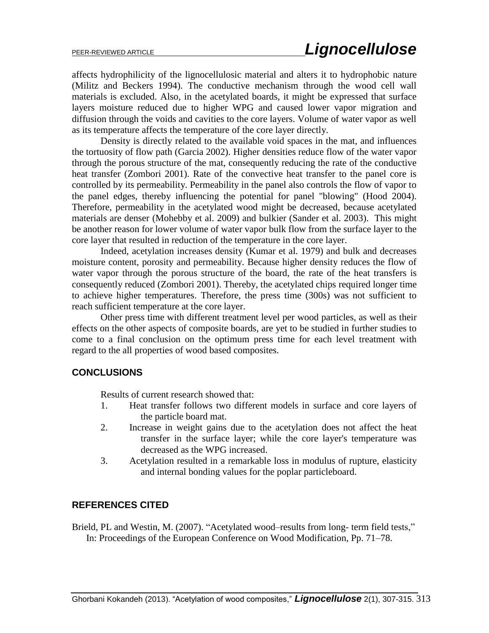affects hydrophilicity of the lignocellulosic material and alters it to hydrophobic nature (Militz and Beckers 1994). The conductive mechanism through the wood cell wall materials is excluded. Also, in the acetylated boards, it might be expressed that surface layers moisture reduced due to higher WPG and caused lower vapor migration and diffusion through the voids and cavities to the core layers. Volume of water vapor as well as its temperature affects the temperature of the core layer directly.

Density is directly related to the available void spaces in the mat, and influences the tortuosity of flow path (Garcia 2002). Higher densities reduce flow of the water vapor through the porous structure of the mat, consequently reducing the rate of the conductive heat transfer (Zombori 2001). Rate of the convective heat transfer to the panel core is controlled by its permeability. Permeability in the panel also controls the flow of vapor to the panel edges, thereby influencing the potential for panel "blowing" (Hood 2004). Therefore, permeability in the acetylated wood might be decreased, because acetylated materials are denser (Mohebby et al. 2009) and bulkier (Sander et al. 2003). This might be another reason for lower volume of water vapor bulk flow from the surface layer to the core layer that resulted in reduction of the temperature in the core layer.

Indeed, acetylation increases density (Kumar et al. 1979) and bulk and decreases moisture content, porosity and permeability. Because higher density reduces the flow of water vapor through the porous structure of the board, the rate of the heat transfers is consequently reduced (Zombori 2001). Thereby, the acetylated chips required longer time to achieve higher temperatures. Therefore, the press time (300s) was not sufficient to reach sufficient temperature at the core layer.

Other press time with different treatment level per wood particles, as well as their effects on the other aspects of composite boards, are yet to be studied in further studies to come to a final conclusion on the optimum press time for each level treatment with regard to the all properties of wood based composites.

## **CONCLUSIONS**

Results of current research showed that:

- 1. Heat transfer follows two different models in surface and core layers of the particle board mat.
- 2. Increase in weight gains due to the acetylation does not affect the heat transfer in the surface layer; while the core layer's temperature was decreased as the WPG increased.
- 3. Acetylation resulted in a remarkable loss in modulus of rupture, elasticity and internal bonding values for the poplar particleboard.

## **REFERENCES CITED**

Brield, PL and Westin, M. (2007). "Acetylated wood–results from long- term field tests," In: Proceedings of the European Conference on Wood Modification, Pp. 71–78.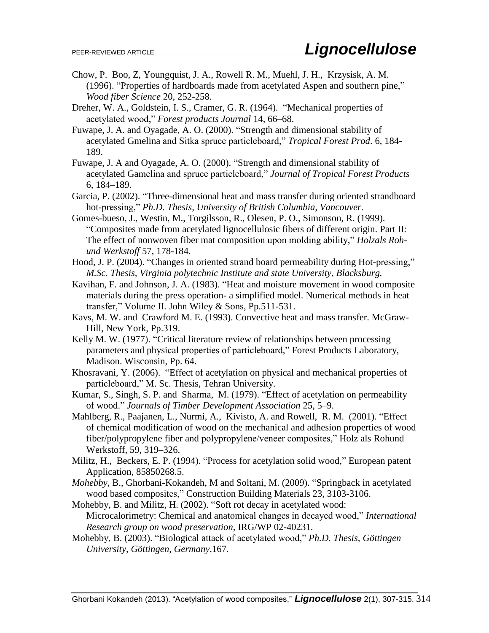- Chow, P. Boo, Z, Youngquist, J. A., Rowell R. M., Muehl, J. H., Krzysisk, A. M. (1996). "Properties of hardboards made from acetylated Aspen and southern pine," *Wood fiber Science* 20, 252-258.
- Dreher, W. A., Goldstein, I. S., Cramer, G. R. (1964). "Mechanical properties of acetylated wood," *Forest products Journal* 14, 66–68.
- Fuwape, J. A. and Oyagade, A. O. (2000). "Strength and dimensional stability of acetylated Gmelina and Sitka spruce particleboard," *Tropical Forest Prod*. 6, 184- 189.
- Fuwape, J. A and Oyagade, A. O. (2000). "Strength and dimensional stability of acetylated Gamelina and spruce particleboard," *Journal of Tropical Forest Products* 6, 184–189.
- Garcia, P. (2002). "Three-dimensional heat and mass transfer during oriented strandboard hot-pressing," *Ph.D. Thesis, University of British Columbia, Vancouver.*
- Gomes-bueso, J., Westin, M., Torgilsson, R., Olesen, P. O., Simonson, R. (1999). "Composites made from acetylated lignocellulosic fibers of different origin. Part II: The effect of nonwoven fiber mat composition upon molding ability," *Holzals Rohund Werkstoff* 57, 178-184.
- Hood, J. P. (2004). "Changes in oriented strand board permeability during Hot-pressing," *M.Sc. Thesis, Virginia polytechnic Institute and state University, Blacksburg.*
- Kavihan, F. and Johnson, J. A. (1983). "Heat and moisture movement in wood composite materials during the press operation- a simplified model. Numerical methods in heat transfer," Volume II. John Wiley & Sons, Pp.511-531.
- Kavs, M. W. and Crawford M. E. (1993). Convective heat and mass transfer. McGraw-Hill, New York, Pp.319.
- Kelly M. W. (1977). "Critical literature review of relationships between processing parameters and physical properties of particleboard," Forest Products Laboratory, Madison. Wisconsin, Pp. 64.
- Khosravani, Y. (2006). "Effect of acetylation on physical and mechanical properties of particleboard," M. Sc. Thesis, Tehran University.
- Kumar, S., Singh, S. P. and Sharma, M. (1979). "Effect of acetylation on permeability of wood." *Journals of Timber Development Association* 25, 5–9.
- Mahlberg, R., Paajanen, L., Nurmi, A., Kivisto, A. and Rowell, R. M. (2001). "Effect of chemical modification of wood on the mechanical and adhesion properties of wood fiber/polypropylene fiber and polypropylene/veneer composites," Holz als Rohund Werkstoff, 59, 319–326.
- Militz, H., Beckers, E. P. (1994). "Process for acetylation solid wood," European patent Application, 85850268.5.
- *Mohebby*, B., Ghorbani-Kokandeh, M and Soltani, M. (2009). "Springback in acetylated wood based composites," Construction Building Materials 23, 3103-3106.
- Mohebby, B. and Militz, H. (2002). "Soft rot decay in acetylated wood: Microcalorimetry: Chemical and anatomical changes in decayed wood," *International Research group on wood preservation,* IRG/WP 02-40231.
- Mohebby, B. (2003). "Biological attack of acetylated wood," *Ph.D. Thesis, Göttingen University, Göttingen, Germany*,167.